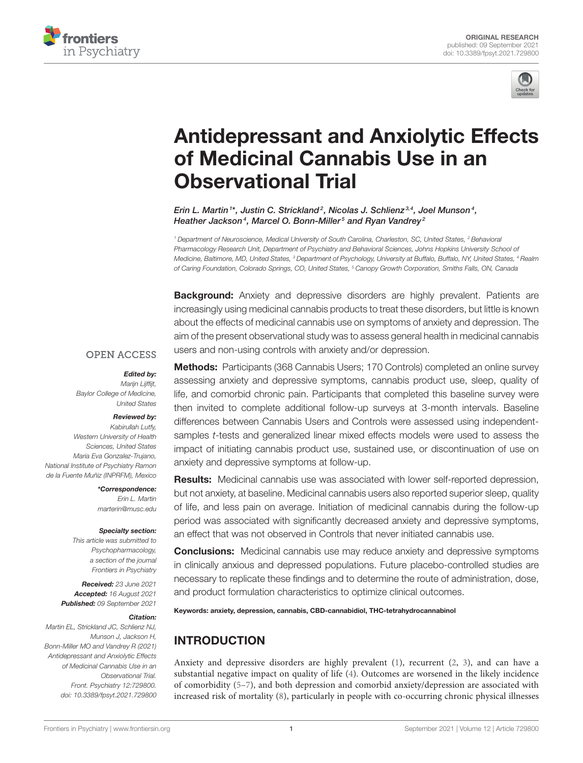



# [Antidepressant and Anxiolytic Effects](https://www.frontiersin.org/articles/10.3389/fpsyt.2021.729800/full) of Medicinal Cannabis Use in an Observational Trial

Erin L. Martin  $1^\ast$ , Justin C. Strickland  $^2$ , Nicolas J. Schlienz $^{3,4}$ , Joel Munson  $^4$ , Heather Jackson $\rm ^4$ , Marcel O. Bonn-Miller $\rm ^5$  and Ryan Vandrey $\rm ^2$ 

<sup>1</sup> Department of Neuroscience, Medical University of South Carolina, Charleston, SC, United States, <sup>2</sup> Behavioral Pharmacology Research Unit, Department of Psychiatry and Behavioral Sciences, Johns Hopkins University School of Medicine, Baltimore, MD, United States, <sup>3</sup> Department of Psychology, University at Buffalo, Buffalo, NY, United States, <sup>4</sup> Realm of Caring Foundation, Colorado Springs, CO, United States, <sup>5</sup> Canopy Growth Corporation, Smiths Falls, ON, Canada

**Background:** Anxiety and depressive disorders are highly prevalent. Patients are increasingly using medicinal cannabis products to treat these disorders, but little is known about the effects of medicinal cannabis use on symptoms of anxiety and depression. The aim of the present observational study was to assess general health in medicinal cannabis users and non-using controls with anxiety and/or depression.

#### **OPEN ACCESS**

#### Edited by:

Marijn Lijffijt, Baylor College of Medicine, United States

#### Reviewed by:

Kabirullah Lutfy, Western University of Health Sciences, United States Maria Eva Gonzalez-Trujano, National Institute of Psychiatry Ramon de la Fuente Muñiz (INPRFM), Mexico

> \*Correspondence: Erin L. Martin [marterin@musc.edu](mailto:marterin@musc.edu)

#### Specialty section:

This article was submitted to Psychopharmacology, a section of the journal Frontiers in Psychiatry

Received: 23 June 2021 Accepted: 16 August 2021 Published: 09 September 2021

#### Citation:

Martin EL, Strickland JC, Schlienz NJ, Munson J, Jackson H, Bonn-Miller MO and Vandrey R (2021) Antidepressant and Anxiolytic Effects of Medicinal Cannabis Use in an Observational Trial. Front. Psychiatry 12:729800. doi: [10.3389/fpsyt.2021.729800](https://doi.org/10.3389/fpsyt.2021.729800)

Methods: Participants (368 Cannabis Users; 170 Controls) completed an online survey assessing anxiety and depressive symptoms, cannabis product use, sleep, quality of life, and comorbid chronic pain. Participants that completed this baseline survey were then invited to complete additional follow-up surveys at 3-month intervals. Baseline differences between Cannabis Users and Controls were assessed using independentsamples t-tests and generalized linear mixed effects models were used to assess the impact of initiating cannabis product use, sustained use, or discontinuation of use on anxiety and depressive symptoms at follow-up.

Results: Medicinal cannabis use was associated with lower self-reported depression, but not anxiety, at baseline. Medicinal cannabis users also reported superior sleep, quality of life, and less pain on average. Initiation of medicinal cannabis during the follow-up period was associated with significantly decreased anxiety and depressive symptoms, an effect that was not observed in Controls that never initiated cannabis use.

**Conclusions:** Medicinal cannabis use may reduce anxiety and depressive symptoms in clinically anxious and depressed populations. Future placebo-controlled studies are necessary to replicate these findings and to determine the route of administration, dose, and product formulation characteristics to optimize clinical outcomes.

Keywords: anxiety, depression, cannabis, CBD-cannabidiol, THC-tetrahydrocannabinol

# INTRODUCTION

Anxiety and depressive disorders are highly prevalent [\(1\)](#page-7-0), recurrent [\(2,](#page-7-1) [3\)](#page-7-2), and can have a substantial negative impact on quality of life [\(4\)](#page-7-3). Outcomes are worsened in the likely incidence of comorbidity [\(5](#page-7-4)[–7\)](#page-7-5), and both depression and comorbid anxiety/depression are associated with increased risk of mortality [\(8\)](#page-7-6), particularly in people with co-occurring chronic physical illnesses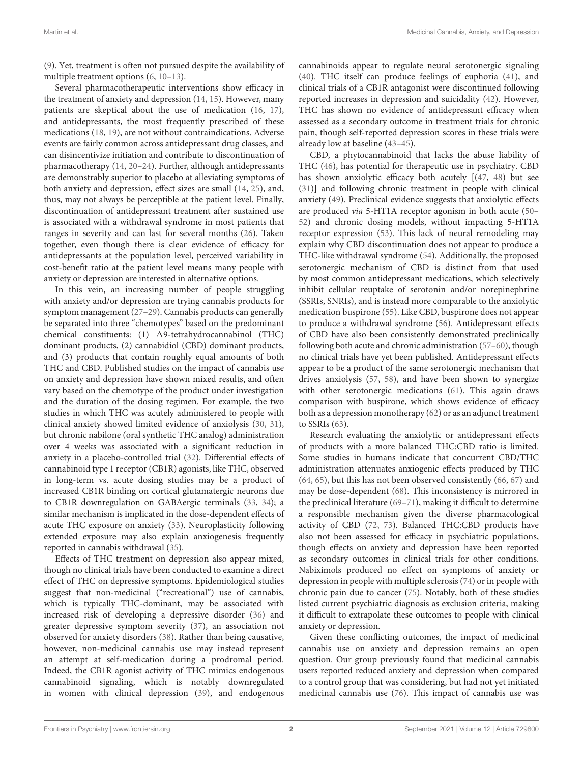[\(9\)](#page-7-7). Yet, treatment is often not pursued despite the availability of multiple treatment options [\(6,](#page-7-8) [10](#page-7-9)[–13\)](#page-7-10).

Several pharmacotherapeutic interventions show efficacy in the treatment of anxiety and depression [\(14,](#page-7-11) [15\)](#page-7-12). However, many patients are skeptical about the use of medication [\(16,](#page-8-0) [17\)](#page-8-1), and antidepressants, the most frequently prescribed of these medications [\(18,](#page-8-2) [19\)](#page-8-3), are not without contraindications. Adverse events are fairly common across antidepressant drug classes, and can disincentivize initiation and contribute to discontinuation of pharmacotherapy [\(14,](#page-7-11) [20](#page-8-4)[–24\)](#page-8-5). Further, although antidepressants are demonstrably superior to placebo at alleviating symptoms of both anxiety and depression, effect sizes are small [\(14,](#page-7-11) [25\)](#page-8-6), and, thus, may not always be perceptible at the patient level. Finally, discontinuation of antidepressant treatment after sustained use is associated with a withdrawal syndrome in most patients that ranges in severity and can last for several months [\(26\)](#page-8-7). Taken together, even though there is clear evidence of efficacy for antidepressants at the population level, perceived variability in cost-benefit ratio at the patient level means many people with anxiety or depression are interested in alternative options.

In this vein, an increasing number of people struggling with anxiety and/or depression are trying cannabis products for symptom management [\(27](#page-8-8)[–29\)](#page-8-9). Cannabis products can generally be separated into three "chemotypes" based on the predominant chemical constituents: (1)  $\Delta$ 9-tetrahydrocannabinol (THC) dominant products, (2) cannabidiol (CBD) dominant products, and (3) products that contain roughly equal amounts of both THC and CBD. Published studies on the impact of cannabis use on anxiety and depression have shown mixed results, and often vary based on the chemotype of the product under investigation and the duration of the dosing regimen. For example, the two studies in which THC was acutely administered to people with clinical anxiety showed limited evidence of anxiolysis [\(30,](#page-8-10) [31\)](#page-8-11), but chronic nabilone (oral synthetic THC analog) administration over 4 weeks was associated with a significant reduction in anxiety in a placebo-controlled trial [\(32\)](#page-8-12). Differential effects of cannabinoid type 1 receptor (CB1R) agonists, like THC, observed in long-term vs. acute dosing studies may be a product of increased CB1R binding on cortical glutamatergic neurons due to CB1R downregulation on GABAergic terminals [\(33,](#page-8-13) [34\)](#page-8-14); a similar mechanism is implicated in the dose-dependent effects of acute THC exposure on anxiety [\(33\)](#page-8-13). Neuroplasticity following extended exposure may also explain anxiogenesis frequently reported in cannabis withdrawal [\(35\)](#page-8-15).

Effects of THC treatment on depression also appear mixed, though no clinical trials have been conducted to examine a direct effect of THC on depressive symptoms. Epidemiological studies suggest that non-medicinal ("recreational") use of cannabis, which is typically THC-dominant, may be associated with increased risk of developing a depressive disorder [\(36\)](#page-8-16) and greater depressive symptom severity [\(37\)](#page-8-17), an association not observed for anxiety disorders [\(38\)](#page-8-18). Rather than being causative, however, non-medicinal cannabis use may instead represent an attempt at self-medication during a prodromal period. Indeed, the CB1R agonist activity of THC mimics endogenous cannabinoid signaling, which is notably downregulated in women with clinical depression [\(39\)](#page-8-19), and endogenous cannabinoids appear to regulate neural serotonergic signaling [\(40\)](#page-8-20). THC itself can produce feelings of euphoria [\(41\)](#page-8-21), and clinical trials of a CB1R antagonist were discontinued following reported increases in depression and suicidality [\(42\)](#page-8-22). However, THC has shown no evidence of antidepressant efficacy when assessed as a secondary outcome in treatment trials for chronic pain, though self-reported depression scores in these trials were already low at baseline [\(43](#page-8-23)[–45\)](#page-8-24).

CBD, a phytocannabinoid that lacks the abuse liability of THC [\(46\)](#page-8-25), has potential for therapeutic use in psychiatry. CBD has shown anxiolytic efficacy both acutely [[\(47,](#page-8-26) [48\)](#page-8-27) but see [\(31\)](#page-8-11)] and following chronic treatment in people with clinical anxiety [\(49\)](#page-8-28). Preclinical evidence suggests that anxiolytic effects are produced via 5-HT1A receptor agonism in both acute [\(50–](#page-8-29) [52\)](#page-8-30) and chronic dosing models, without impacting 5-HT1A receptor expression [\(53\)](#page-8-31). This lack of neural remodeling may explain why CBD discontinuation does not appear to produce a THC-like withdrawal syndrome [\(54\)](#page-9-0). Additionally, the proposed serotonergic mechanism of CBD is distinct from that used by most common antidepressant medications, which selectively inhibit cellular reuptake of serotonin and/or norepinephrine (SSRIs, SNRIs), and is instead more comparable to the anxiolytic medication buspirone [\(55\)](#page-9-1). Like CBD, buspirone does not appear to produce a withdrawal syndrome [\(56\)](#page-9-2). Antidepressant effects of CBD have also been consistently demonstrated preclinically following both acute and chronic administration [\(57–](#page-9-3)[60\)](#page-9-4), though no clinical trials have yet been published. Antidepressant effects appear to be a product of the same serotonergic mechanism that drives anxiolysis [\(57,](#page-9-3) [58\)](#page-9-5), and have been shown to synergize with other serotonergic medications [\(61\)](#page-9-6). This again draws comparison with buspirone, which shows evidence of efficacy both as a depression monotherapy [\(62\)](#page-9-7) or as an adjunct treatment to SSRIs [\(63\)](#page-9-8).

Research evaluating the anxiolytic or antidepressant effects of products with a more balanced THC:CBD ratio is limited. Some studies in humans indicate that concurrent CBD/THC administration attenuates anxiogenic effects produced by THC [\(64,](#page-9-9) [65\)](#page-9-10), but this has not been observed consistently [\(66,](#page-9-11) [67\)](#page-9-12) and may be dose-dependent [\(68\)](#page-9-13). This inconsistency is mirrored in the preclinical literature [\(69](#page-9-14)[–71\)](#page-9-15), making it difficult to determine a responsible mechanism given the diverse pharmacological activity of CBD [\(72,](#page-9-16) [73\)](#page-9-17). Balanced THC:CBD products have also not been assessed for efficacy in psychiatric populations, though effects on anxiety and depression have been reported as secondary outcomes in clinical trials for other conditions. Nabiximols produced no effect on symptoms of anxiety or depression in people with multiple sclerosis [\(74\)](#page-9-18) or in people with chronic pain due to cancer [\(75\)](#page-9-19). Notably, both of these studies listed current psychiatric diagnosis as exclusion criteria, making it difficult to extrapolate these outcomes to people with clinical anxiety or depression.

Given these conflicting outcomes, the impact of medicinal cannabis use on anxiety and depression remains an open question. Our group previously found that medicinal cannabis users reported reduced anxiety and depression when compared to a control group that was considering, but had not yet initiated medicinal cannabis use [\(76\)](#page-9-20). This impact of cannabis use was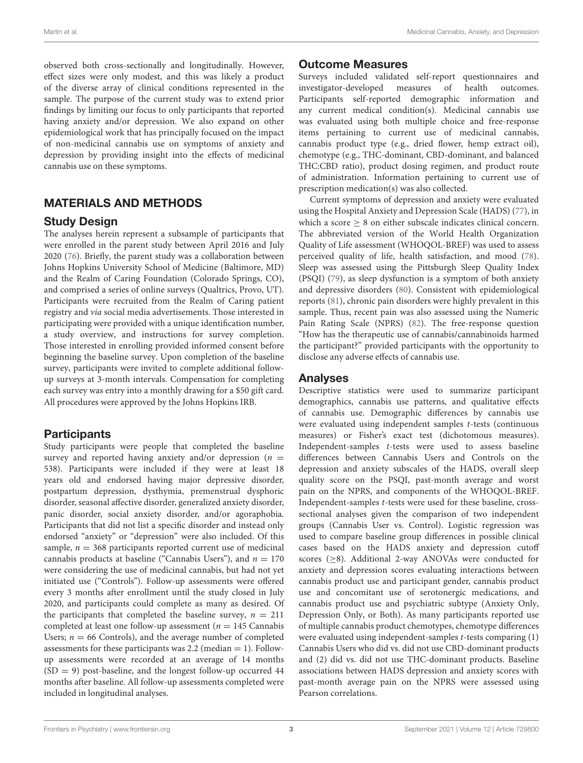observed both cross-sectionally and longitudinally. However, effect sizes were only modest, and this was likely a product of the diverse array of clinical conditions represented in the sample. The purpose of the current study was to extend prior findings by limiting our focus to only participants that reported having anxiety and/or depression. We also expand on other epidemiological work that has principally focused on the impact of non-medicinal cannabis use on symptoms of anxiety and depression by providing insight into the effects of medicinal cannabis use on these symptoms.

# MATERIALS AND METHODS

# Study Design

The analyses herein represent a subsample of participants that were enrolled in the parent study between April 2016 and July 2020 [\(76\)](#page-9-20). Briefly, the parent study was a collaboration between Johns Hopkins University School of Medicine (Baltimore, MD) and the Realm of Caring Foundation (Colorado Springs, CO), and comprised a series of online surveys (Qualtrics, Provo, UT). Participants were recruited from the Realm of Caring patient registry and via social media advertisements. Those interested in participating were provided with a unique identification number, a study overview, and instructions for survey completion. Those interested in enrolling provided informed consent before beginning the baseline survey. Upon completion of the baseline survey, participants were invited to complete additional followup surveys at 3-month intervals. Compensation for completing each survey was entry into a monthly drawing for a \$50 gift card. All procedures were approved by the Johns Hopkins IRB.

# **Participants**

Study participants were people that completed the baseline survey and reported having anxiety and/or depression ( $n =$ 538). Participants were included if they were at least 18 years old and endorsed having major depressive disorder, postpartum depression, dysthymia, premenstrual dysphoric disorder, seasonal affective disorder, generalized anxiety disorder, panic disorder, social anxiety disorder, and/or agoraphobia. Participants that did not list a specific disorder and instead only endorsed "anxiety" or "depression" were also included. Of this sample,  $n = 368$  participants reported current use of medicinal cannabis products at baseline ("Cannabis Users"), and  $n = 170$ were considering the use of medicinal cannabis, but had not yet initiated use ("Controls"). Follow-up assessments were offered every 3 months after enrollment until the study closed in July 2020, and participants could complete as many as desired. Of the participants that completed the baseline survey,  $n = 211$ completed at least one follow-up assessment ( $n = 145$  Cannabis Users;  $n = 66$  Controls), and the average number of completed assessments for these participants was  $2.2$  (median  $= 1$ ). Followup assessments were recorded at an average of 14 months  $(SD = 9)$  post-baseline, and the longest follow-up occurred 44 months after baseline. All follow-up assessments completed were included in longitudinal analyses.

# Outcome Measures

Surveys included validated self-report questionnaires and investigator-developed measures of health outcomes. Participants self-reported demographic information and any current medical condition(s). Medicinal cannabis use was evaluated using both multiple choice and free-response items pertaining to current use of medicinal cannabis, cannabis product type (e.g., dried flower, hemp extract oil), chemotype (e.g., THC-dominant, CBD-dominant, and balanced THC:CBD ratio), product dosing regimen, and product route of administration. Information pertaining to current use of prescription medication(s) was also collected.

Current symptoms of depression and anxiety were evaluated using the Hospital Anxiety and Depression Scale (HADS) [\(77\)](#page-9-21), in which a score  $\geq 8$  on either subscale indicates clinical concern. The abbreviated version of the World Health Organization Quality of Life assessment (WHOQOL-BREF) was used to assess perceived quality of life, health satisfaction, and mood [\(78\)](#page-9-22). Sleep was assessed using the Pittsburgh Sleep Quality Index (PSQI) [\(79\)](#page-9-23), as sleep dysfunction is a symptom of both anxiety and depressive disorders [\(80\)](#page-9-24). Consistent with epidemiological reports [\(81\)](#page-9-25), chronic pain disorders were highly prevalent in this sample. Thus, recent pain was also assessed using the Numeric Pain Rating Scale (NPRS) [\(82\)](#page-9-26). The free-response question "How has the therapeutic use of cannabis/cannabinoids harmed the participant?" provided participants with the opportunity to disclose any adverse effects of cannabis use.

# Analyses

Descriptive statistics were used to summarize participant demographics, cannabis use patterns, and qualitative effects of cannabis use. Demographic differences by cannabis use were evaluated using independent samples t-tests (continuous measures) or Fisher's exact test (dichotomous measures). Independent-samples t-tests were used to assess baseline differences between Cannabis Users and Controls on the depression and anxiety subscales of the HADS, overall sleep quality score on the PSQI, past-month average and worst pain on the NPRS, and components of the WHOQOL-BREF. Independent-samples t-tests were used for these baseline, crosssectional analyses given the comparison of two independent groups (Cannabis User vs. Control). Logistic regression was used to compare baseline group differences in possible clinical cases based on the HADS anxiety and depression cutoff scores (≥8). Additional 2-way ANOVAs were conducted for anxiety and depression scores evaluating interactions between cannabis product use and participant gender, cannabis product use and concomitant use of serotonergic medications, and cannabis product use and psychiatric subtype (Anxiety Only, Depression Only, or Both). As many participants reported use of multiple cannabis product chemotypes, chemotype differences were evaluated using independent-samples t-tests comparing (1) Cannabis Users who did vs. did not use CBD-dominant products and (2) did vs. did not use THC-dominant products. Baseline associations between HADS depression and anxiety scores with past-month average pain on the NPRS were assessed using Pearson correlations.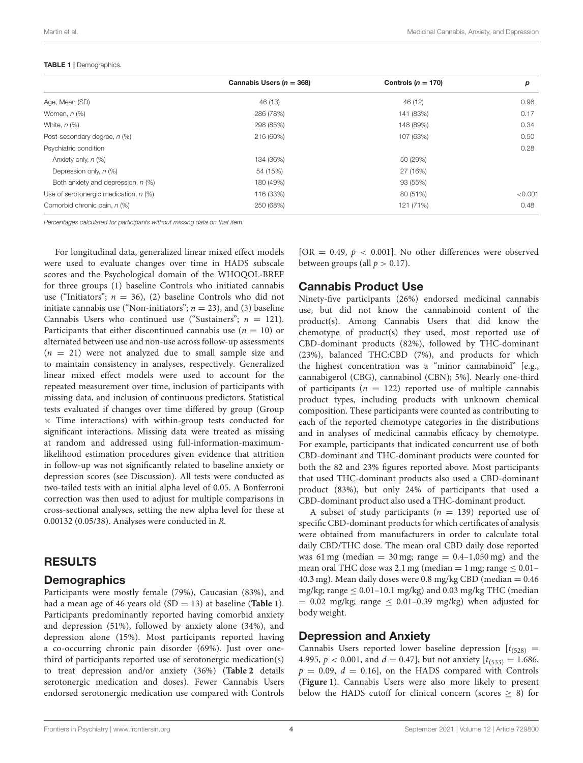#### <span id="page-3-0"></span>TABLE 1 | Demographics.

|                                         | Cannabis Users ( $n = 368$ ) | Controls $(n = 170)$ | р       |
|-----------------------------------------|------------------------------|----------------------|---------|
| Age, Mean (SD)                          | 46 (13)                      | 46 (12)              | 0.96    |
| Women, $n$ $(\%)$                       | 286 (78%)                    | 141 (83%)            | 0.17    |
| White, $n$ $(\%)$                       | 298 (85%)                    | 148 (89%)            | 0.34    |
| Post-secondary degree, n (%)            | 216 (60%)                    | 107 (63%)            | 0.50    |
| Psychiatric condition                   |                              |                      | 0.28    |
| Anxiety only, n (%)                     | 134 (36%)                    | 50 (29%)             |         |
| Depression only, n (%)                  | 54 (15%)                     | 27 (16%)             |         |
| Both anxiety and depression, n (%)      | 180 (49%)                    | 93 (55%)             |         |
| Use of serotonergic medication, $n$ (%) | 116 (33%)                    | 80 (51%)             | < 0.001 |
| Comorbid chronic pain, n (%)            | 250 (68%)                    | 121 (71%)            | 0.48    |

Percentages calculated for participants without missing data on that item.

For longitudinal data, generalized linear mixed effect models were used to evaluate changes over time in HADS subscale scores and the Psychological domain of the WHOQOL-BREF for three groups (1) baseline Controls who initiated cannabis use ("Initiators";  $n = 36$ ), (2) baseline Controls who did not initiate cannabis use ("Non-initiators";  $n = 23$ ), and [\(3\)](#page-7-2) baseline Cannabis Users who continued use ("Sustainers";  $n = 121$ ). Participants that either discontinued cannabis use  $(n = 10)$  or alternated between use and non-use across follow-up assessments  $(n = 21)$  were not analyzed due to small sample size and to maintain consistency in analyses, respectively. Generalized linear mixed effect models were used to account for the repeated measurement over time, inclusion of participants with missing data, and inclusion of continuous predictors. Statistical tests evaluated if changes over time differed by group (Group  $\times$  Time interactions) with within-group tests conducted for significant interactions. Missing data were treated as missing at random and addressed using full-information-maximumlikelihood estimation procedures given evidence that attrition in follow-up was not significantly related to baseline anxiety or depression scores (see Discussion). All tests were conducted as two-tailed tests with an initial alpha level of 0.05. A Bonferroni correction was then used to adjust for multiple comparisons in cross-sectional analyses, setting the new alpha level for these at 0.00132 (0.05/38). Analyses were conducted in R.

## RESULTS

## **Demographics**

Participants were mostly female (79%), Caucasian (83%), and had a mean age of 46 years old (SD = 13) at baseline (**[Table 1](#page-3-0)**). Participants predominantly reported having comorbid anxiety and depression (51%), followed by anxiety alone (34%), and depression alone (15%). Most participants reported having a co-occurring chronic pain disorder (69%). Just over onethird of participants reported use of serotonergic medication(s) to treat depression and/or anxiety (36%) (**[Table 2](#page-4-0)** details serotonergic medication and doses). Fewer Cannabis Users endorsed serotonergic medication use compared with Controls [OR = 0.49,  $p < 0.001$ ]. No other differences were observed between groups (all  $p > 0.17$ ).

## Cannabis Product Use

Ninety-five participants (26%) endorsed medicinal cannabis use, but did not know the cannabinoid content of the product(s). Among Cannabis Users that did know the chemotype of product(s) they used, most reported use of CBD-dominant products (82%), followed by THC-dominant (23%), balanced THC:CBD (7%), and products for which the highest concentration was a "minor cannabinoid" [e.g., cannabigerol (CBG), cannabinol (CBN); 5%]. Nearly one-third of participants ( $n = 122$ ) reported use of multiple cannabis product types, including products with unknown chemical composition. These participants were counted as contributing to each of the reported chemotype categories in the distributions and in analyses of medicinal cannabis efficacy by chemotype. For example, participants that indicated concurrent use of both CBD-dominant and THC-dominant products were counted for both the 82 and 23% figures reported above. Most participants that used THC-dominant products also used a CBD-dominant product (83%), but only 24% of participants that used a CBD-dominant product also used a THC-dominant product.

A subset of study participants ( $n = 139$ ) reported use of specific CBD-dominant products for which certificates of analysis were obtained from manufacturers in order to calculate total daily CBD/THC dose. The mean oral CBD daily dose reported was 61 mg (median  $= 30$  mg; range  $= 0.4$ -1,050 mg) and the mean oral THC dose was 2.1 mg (median  $= 1$  mg; range  $\leq 0.01 -$ 40.3 mg). Mean daily doses were 0.8 mg/kg CBD (median  $= 0.46$ ) mg/kg; range  $\leq 0.01 - 10.1$  mg/kg) and 0.03 mg/kg THC (median  $= 0.02$  mg/kg; range  $\leq 0.01 - 0.39$  mg/kg) when adjusted for body weight.

## Depression and Anxiety

Cannabis Users reported lower baseline depression  $[t_{(528)}]$  = 4.995,  $p < 0.001$ , and  $d = 0.47$ , but not anxiety  $[t_{(533)} = 1.686,$  $p = 0.09$ ,  $d = 0.16$ , on the HADS compared with Controls (**[Figure 1](#page-5-0)**). Cannabis Users were also more likely to present below the HADS cutoff for clinical concern (scores  $\geq$  8) for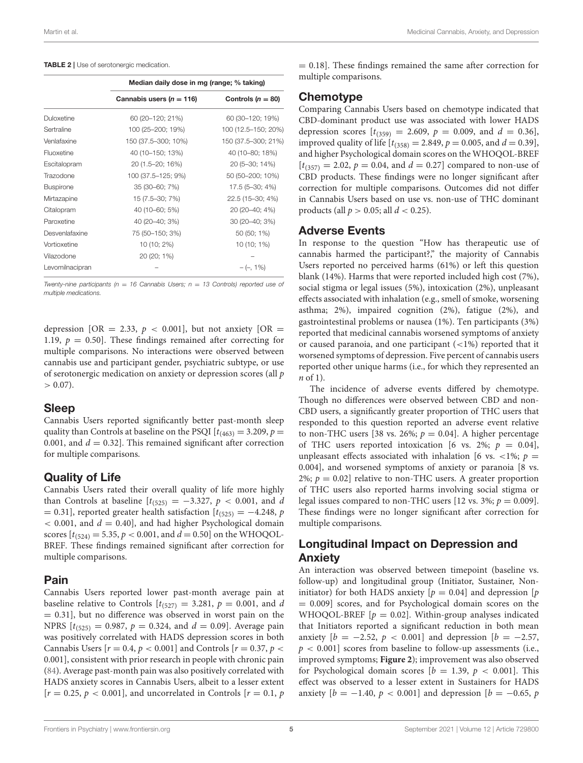<span id="page-4-0"></span>

|                  | Median daily dose in mg (range; % taking) |                     |  |
|------------------|-------------------------------------------|---------------------|--|
|                  | Cannabis users ( $n = 116$ )              | Controls $(n = 80)$ |  |
| Duloxetine       | 60 (20-120; 21%)                          | 60 (30-120; 19%)    |  |
| Sertraline       | 100 (25-200; 19%)                         | 100 (12.5–150; 20%) |  |
| Venlafaxine      | 150 (37.5-300; 10%)                       | 150 (37.5-300; 21%) |  |
| Fluoxetine       | 40 (10-150; 13%)                          | 40 (10-80; 18%)     |  |
| Escitalopram     | 20 (1.5–20; 16%)                          | 20 (5-30; 14%)      |  |
| Trazodone        | 100 (37.5–125; 9%)                        | 50 (50-200; 10%)    |  |
| <b>Buspirone</b> | 35 (30-60; 7%)                            | 17.5 (5-30; 4%)     |  |
| Mirtazapine      | 15 (7.5-30; 7%)                           | 22.5 (15-30; 4%)    |  |
| Citalopram       | 40 (10–60; 5%)                            | 20 (20-40; 4%)      |  |
| Paroxetine       | 40 (20-40; 3%)                            | 30 (20-40; 3%)      |  |
| Desvenlafaxine   | 75 (50-150; 3%)                           | 50 (50; 1%)         |  |
| Vortioxetine     | 10 (10; 2%)                               | 10 (10; 1%)         |  |
| Vilazodone       | 20 (20; 1%)                               |                     |  |
| Levomilnacipran  |                                           | $-(-, 1\%)$         |  |

Twenty-nine participants ( $n = 16$  Cannabis Users;  $n = 13$  Controls) reported use of multiple medications.

depression [OR = 2.33,  $p < 0.001$ ], but not anxiety [OR = 1.19,  $p = 0.50$ . These findings remained after correcting for multiple comparisons. No interactions were observed between cannabis use and participant gender, psychiatric subtype, or use of serotonergic medication on anxiety or depression scores (all p  $> 0.07$ ).

#### Sleep

Cannabis Users reported significantly better past-month sleep quality than Controls at baseline on the PSQI  $[t_{(463)} = 3.209, p =$ 0.001, and  $d = 0.32$ ]. This remained significant after correction for multiple comparisons.

## Quality of Life

Cannabis Users rated their overall quality of life more highly than Controls at baseline  $[t_{(525)} = -3.327, p < 0.001,$  and d = 0.31], reported greater health satisfaction  $[t_{(525)} = -4.248, p$  $<$  0.001, and  $d = 0.40$ , and had higher Psychological domain scores  $[t_{(524)} = 5.35, p < 0.001,$  and  $d = 0.50$  on the WHOQOL-BREF. These findings remained significant after correction for multiple comparisons.

## Pain

Cannabis Users reported lower past-month average pain at baseline relative to Controls  $[t_{(527)} = 3.281, p = 0.001,$  and d  $= 0.31$ ], but no difference was observed in worst pain on the NPRS  $[t_{(525)} = 0.987, p = 0.324, and d = 0.09]$ . Average pain was positively correlated with HADS depression scores in both Cannabis Users  $[r = 0.4, p < 0.001]$  and Controls  $[r = 0.37, p <$ 0.001], consistent with prior research in people with chronic pain [\(84\)](#page-9-27). Average past-month pain was also positively correlated with HADS anxiety scores in Cannabis Users, albeit to a lesser extent  $[r = 0.25, p < 0.001]$ , and uncorrelated in Controls  $[r = 0.1, p]$   $= 0.18$ ]. These findings remained the same after correction for multiple comparisons.

## Chemotype

Comparing Cannabis Users based on chemotype indicated that CBD-dominant product use was associated with lower HADS depression scores  $[t_{(359)} = 2.609, p = 0.009, \text{ and } d = 0.36]$ , improved quality of life  $[t_{(358)} = 2.849, p = 0.005,$  and  $d = 0.39$ ], and higher Psychological domain scores on the WHOQOL-BREF  $[t_{(357)} = 2.02, p = 0.04, \text{ and } d = 0.27]$  compared to non-use of CBD products. These findings were no longer significant after correction for multiple comparisons. Outcomes did not differ in Cannabis Users based on use vs. non-use of THC dominant products (all  $p > 0.05$ ; all  $d < 0.25$ ).

#### Adverse Events

In response to the question "How has therapeutic use of cannabis harmed the participant?," the majority of Cannabis Users reported no perceived harms (61%) or left this question blank (14%). Harms that were reported included high cost (7%), social stigma or legal issues (5%), intoxication (2%), unpleasant effects associated with inhalation (e.g., smell of smoke, worsening asthma; 2%), impaired cognition (2%), fatigue (2%), and gastrointestinal problems or nausea (1%). Ten participants (3%) reported that medicinal cannabis worsened symptoms of anxiety or caused paranoia, and one participant (<1%) reported that it worsened symptoms of depression. Five percent of cannabis users reported other unique harms (i.e., for which they represented an n of 1).

The incidence of adverse events differed by chemotype. Though no differences were observed between CBD and non-CBD users, a significantly greater proportion of THC users that responded to this question reported an adverse event relative to non-THC users [38 vs. 26%;  $p = 0.04$ ]. A higher percentage of THC users reported intoxication [6 vs. 2%;  $p = 0.04$ ], unpleasant effects associated with inhalation [6 vs.  $\lt 1\%$ ;  $p =$ 0.004], and worsened symptoms of anxiety or paranoia [8 vs. 2%;  $p = 0.02$  relative to non-THC users. A greater proportion of THC users also reported harms involving social stigma or legal issues compared to non-THC users [12 vs. 3%;  $p = 0.009$ ]. These findings were no longer significant after correction for multiple comparisons.

# Longitudinal Impact on Depression and Anxiety

An interaction was observed between timepoint (baseline vs. follow-up) and longitudinal group (Initiator, Sustainer, Noninitiator) for both HADS anxiety  $[p = 0.04]$  and depression  $[p]$ = 0.009] scores, and for Psychological domain scores on the WHOQOL-BREF  $[p = 0.02]$ . Within-group analyses indicated that Initiators reported a significant reduction in both mean anxiety [ $b = -2.52$ ,  $p < 0.001$ ] and depression [ $b = -2.57$ ,  $p < 0.001$ ] scores from baseline to follow-up assessments (i.e., improved symptoms; **[Figure 2](#page-6-0)**); improvement was also observed for Psychological domain scores  $[b = 1.39, p < 0.001]$ . This effect was observed to a lesser extent in Sustainers for HADS anxiety  $[b = -1.40, p < 0.001]$  and depression  $[b = -0.65, p]$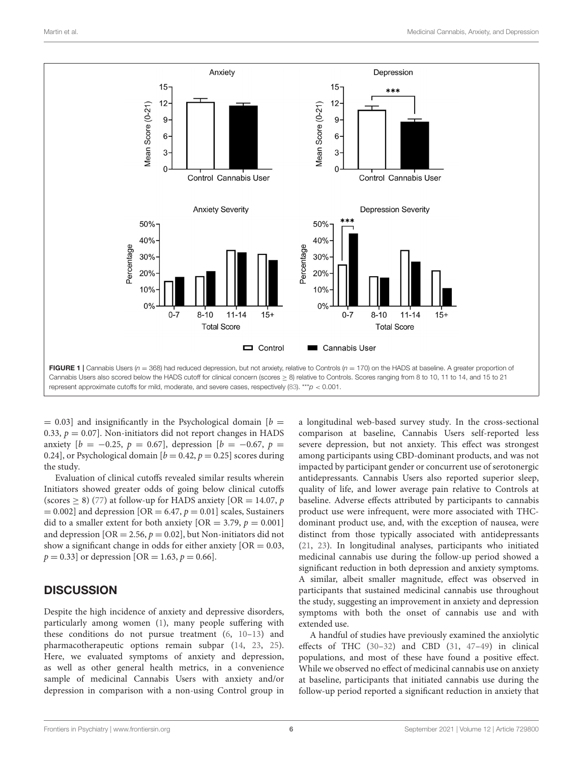

<span id="page-5-0"></span> $= 0.03$ ] and insignificantly in the Psychological domain  $[b]$ 0.33,  $p = 0.07$ ]. Non-initiators did not report changes in HADS anxiety  $[b = -0.25, p = 0.67]$ , depression  $[b = -0.67, p = 0.67]$ 0.24], or Psychological domain  $[b = 0.42, p = 0.25]$  scores during the study.

Evaluation of clinical cutoffs revealed similar results wherein Initiators showed greater odds of going below clinical cutoffs (scores  $\geq$  8) [\(77\)](#page-9-21) at follow-up for HADS anxiety [OR = 14.07, p  $= 0.002$ ] and depression [OR  $= 6.47, p = 0.01$ ] scales, Sustainers did to a smaller extent for both anxiety  $[OR = 3.79, p = 0.001]$ and depression  $[OR = 2.56, p = 0.02]$ , but Non-initiators did not show a significant change in odds for either anxiety  $[OR = 0.03,$  $p = 0.33$  or depression [OR = 1.63,  $p = 0.66$ ].

# **DISCUSSION**

Despite the high incidence of anxiety and depressive disorders, particularly among women [\(1\)](#page-7-0), many people suffering with these conditions do not pursue treatment [\(6,](#page-7-8) [10](#page-7-9)[–13\)](#page-7-10) and pharmacotherapeutic options remain subpar [\(14,](#page-7-11) [23,](#page-8-32) [25\)](#page-8-6). Here, we evaluated symptoms of anxiety and depression, as well as other general health metrics, in a convenience sample of medicinal Cannabis Users with anxiety and/or depression in comparison with a non-using Control group in a longitudinal web-based survey study. In the cross-sectional comparison at baseline, Cannabis Users self-reported less severe depression, but not anxiety. This effect was strongest among participants using CBD-dominant products, and was not impacted by participant gender or concurrent use of serotonergic antidepressants. Cannabis Users also reported superior sleep, quality of life, and lower average pain relative to Controls at baseline. Adverse effects attributed by participants to cannabis product use were infrequent, were more associated with THCdominant product use, and, with the exception of nausea, were distinct from those typically associated with antidepressants [\(21,](#page-8-33) [23\)](#page-8-32). In longitudinal analyses, participants who initiated medicinal cannabis use during the follow-up period showed a significant reduction in both depression and anxiety symptoms. A similar, albeit smaller magnitude, effect was observed in participants that sustained medicinal cannabis use throughout the study, suggesting an improvement in anxiety and depression symptoms with both the onset of cannabis use and with extended use.

A handful of studies have previously examined the anxiolytic effects of THC [\(30–](#page-8-10)[32\)](#page-8-12) and CBD [\(31,](#page-8-11) [47–](#page-8-26)[49\)](#page-8-28) in clinical populations, and most of these have found a positive effect. While we observed no effect of medicinal cannabis use on anxiety at baseline, participants that initiated cannabis use during the follow-up period reported a significant reduction in anxiety that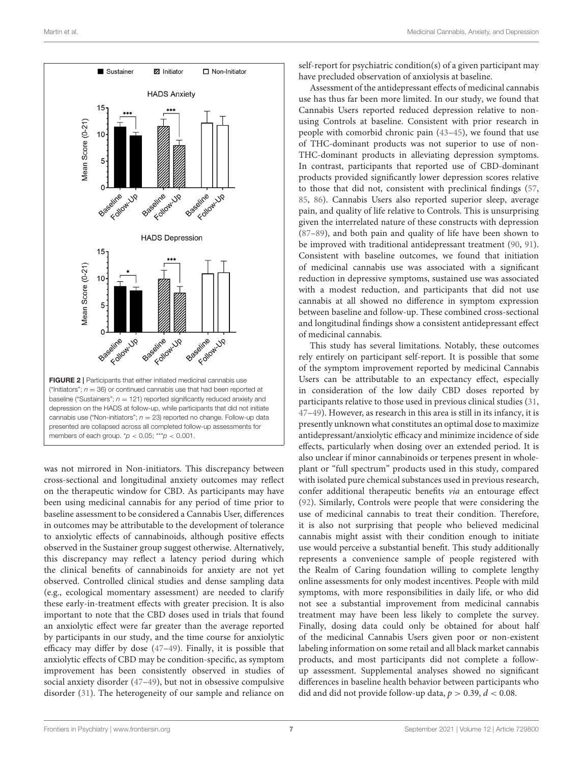

<span id="page-6-0"></span>was not mirrored in Non-initiators. This discrepancy between cross-sectional and longitudinal anxiety outcomes may reflect on the therapeutic window for CBD. As participants may have been using medicinal cannabis for any period of time prior to baseline assessment to be considered a Cannabis User, differences in outcomes may be attributable to the development of tolerance to anxiolytic effects of cannabinoids, although positive effects observed in the Sustainer group suggest otherwise. Alternatively, this discrepancy may reflect a latency period during which the clinical benefits of cannabinoids for anxiety are not yet observed. Controlled clinical studies and dense sampling data (e.g., ecological momentary assessment) are needed to clarify these early-in-treatment effects with greater precision. It is also important to note that the CBD doses used in trials that found an anxiolytic effect were far greater than the average reported by participants in our study, and the time course for anxiolytic efficacy may differ by dose [\(47–](#page-8-26)[49\)](#page-8-28). Finally, it is possible that anxiolytic effects of CBD may be condition-specific, as symptom improvement has been consistently observed in studies of social anxiety disorder [\(47–](#page-8-26)[49\)](#page-8-28), but not in obsessive compulsive disorder [\(31\)](#page-8-11). The heterogeneity of our sample and reliance on self-report for psychiatric condition(s) of a given participant may have precluded observation of anxiolysis at baseline.

Assessment of the antidepressant effects of medicinal cannabis use has thus far been more limited. In our study, we found that Cannabis Users reported reduced depression relative to nonusing Controls at baseline. Consistent with prior research in people with comorbid chronic pain [\(43–](#page-8-23)[45\)](#page-8-24), we found that use of THC-dominant products was not superior to use of non-THC-dominant products in alleviating depression symptoms. In contrast, participants that reported use of CBD-dominant products provided significantly lower depression scores relative to those that did not, consistent with preclinical findings [\(57,](#page-9-3) [85,](#page-9-29) [86\)](#page-9-30). Cannabis Users also reported superior sleep, average pain, and quality of life relative to Controls. This is unsurprising given the interrelated nature of these constructs with depression [\(87](#page-9-31)[–89\)](#page-9-32), and both pain and quality of life have been shown to be improved with traditional antidepressant treatment [\(90,](#page-10-0) [91\)](#page-10-1). Consistent with baseline outcomes, we found that initiation of medicinal cannabis use was associated with a significant reduction in depressive symptoms, sustained use was associated with a modest reduction, and participants that did not use cannabis at all showed no difference in symptom expression between baseline and follow-up. These combined cross-sectional and longitudinal findings show a consistent antidepressant effect of medicinal cannabis.

This study has several limitations. Notably, these outcomes rely entirely on participant self-report. It is possible that some of the symptom improvement reported by medicinal Cannabis Users can be attributable to an expectancy effect, especially in consideration of the low daily CBD doses reported by participants relative to those used in previous clinical studies [\(31,](#page-8-11) [47](#page-8-26)[–49\)](#page-8-28). However, as research in this area is still in its infancy, it is presently unknown what constitutes an optimal dose to maximize antidepressant/anxiolytic efficacy and minimize incidence of side effects, particularly when dosing over an extended period. It is also unclear if minor cannabinoids or terpenes present in wholeplant or "full spectrum" products used in this study, compared with isolated pure chemical substances used in previous research, confer additional therapeutic benefits via an entourage effect [\(92\)](#page-10-2). Similarly, Controls were people that were considering the use of medicinal cannabis to treat their condition. Therefore, it is also not surprising that people who believed medicinal cannabis might assist with their condition enough to initiate use would perceive a substantial benefit. This study additionally represents a convenience sample of people registered with the Realm of Caring foundation willing to complete lengthy online assessments for only modest incentives. People with mild symptoms, with more responsibilities in daily life, or who did not see a substantial improvement from medicinal cannabis treatment may have been less likely to complete the survey. Finally, dosing data could only be obtained for about half of the medicinal Cannabis Users given poor or non-existent labeling information on some retail and all black market cannabis products, and most participants did not complete a followup assessment. Supplemental analyses showed no significant differences in baseline health behavior between participants who did and did not provide follow-up data,  $p > 0.39$ ,  $d < 0.08$ .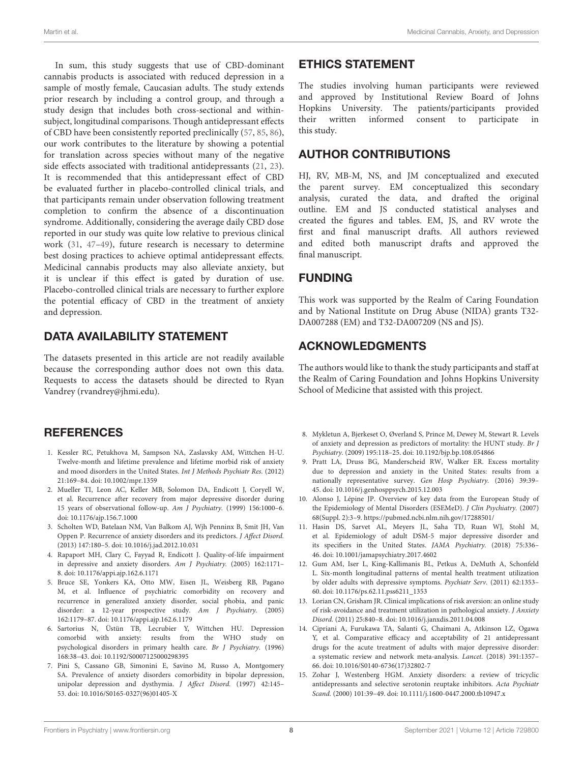In sum, this study suggests that use of CBD-dominant cannabis products is associated with reduced depression in a sample of mostly female, Caucasian adults. The study extends prior research by including a control group, and through a study design that includes both cross-sectional and withinsubject, longitudinal comparisons. Though antidepressant effects of CBD have been consistently reported preclinically [\(57,](#page-9-3) [85,](#page-9-29) [86\)](#page-9-30), our work contributes to the literature by showing a potential for translation across species without many of the negative side effects associated with traditional antidepressants [\(21,](#page-8-33) [23\)](#page-8-32). It is recommended that this antidepressant effect of CBD be evaluated further in placebo-controlled clinical trials, and that participants remain under observation following treatment completion to confirm the absence of a discontinuation syndrome. Additionally, considering the average daily CBD dose reported in our study was quite low relative to previous clinical work [\(31,](#page-8-11) [47–](#page-8-26)[49\)](#page-8-28), future research is necessary to determine best dosing practices to achieve optimal antidepressant effects. Medicinal cannabis products may also alleviate anxiety, but it is unclear if this effect is gated by duration of use. Placebo-controlled clinical trials are necessary to further explore the potential efficacy of CBD in the treatment of anxiety and depression.

# DATA AVAILABILITY STATEMENT

The datasets presented in this article are not readily available because the corresponding author does not own this data. Requests to access the datasets should be directed to Ryan Vandrey (rvandrey@jhmi.edu).

# **REFERENCES**

- <span id="page-7-0"></span>1. Kessler RC, Petukhova M, Sampson NA, Zaslavsky AM, Wittchen H-U. Twelve-month and lifetime prevalence and lifetime morbid risk of anxiety and mood disorders in the United States. Int J Methods Psychiatr Res. (2012) 21:169–84. doi: [10.1002/mpr.1359](https://doi.org/10.1002/mpr.1359)
- <span id="page-7-1"></span>2. Mueller TI, Leon AC, Keller MB, Solomon DA, Endicott J, Coryell W, et al. Recurrence after recovery from major depressive disorder during 15 years of observational follow-up. Am J Psychiatry. (1999) 156:1000–6. doi: [10.1176/ajp.156.7.1000](https://doi.org/10.1176/ajp.156.7.1000)
- <span id="page-7-2"></span>3. Scholten WD, Batelaan NM, Van Balkom AJ, Wjh Penninx B, Smit JH, Van Oppen P. Recurrence of anxiety disorders and its predictors. J Affect Disord. (2013) 147:180–5. doi: [10.1016/j.jad.2012.10.031](https://doi.org/10.1016/j.jad.2012.10.031)
- <span id="page-7-3"></span>4. Rapaport MH, Clary C, Fayyad R, Endicott J. Quality-of-life impairment in depressive and anxiety disorders. Am J Psychiatry. (2005) 162:1171– 8. doi: [10.1176/appi.ajp.162.6.1171](https://doi.org/10.1176/appi.ajp.162.6.1171)
- <span id="page-7-4"></span>5. Bruce SE, Yonkers KA, Otto MW, Eisen JL, Weisberg RB, Pagano M, et al. Influence of psychiatric comorbidity on recovery and recurrence in generalized anxiety disorder, social phobia, and panic disorder: a 12-year prospective study. Am J Psychiatry. (2005) 162:1179–87. doi: [10.1176/appi.ajp.162.6.1179](https://doi.org/10.1176/appi.ajp.162.6.1179)
- <span id="page-7-8"></span>6. Sartorius N, Üstün TB, Lecrubier Y, Wittchen HU. Depression comorbid with anxiety: results from the WHO study on psychological disorders in primary health care. Br J Psychiatry. (1996) 168:38–43. doi: [10.1192/S0007125000298395](https://doi.org/10.1192/S0007125000298395)
- <span id="page-7-5"></span>7. Pini S, Cassano GB, Simonini E, Savino M, Russo A, Montgomery SA. Prevalence of anxiety disorders comorbidity in bipolar depression, unipolar depression and dysthymia. J Affect Disord. (1997) 42:145– 53. doi: [10.1016/S0165-0327\(96\)01405-X](https://doi.org/10.1016/S0165-0327(96)01405-X)

## ETHICS STATEMENT

The studies involving human participants were reviewed and approved by Institutional Review Board of Johns Hopkins University. The patients/participants provided their written informed consent to participate in this study.

# AUTHOR CONTRIBUTIONS

HJ, RV, MB-M, NS, and JM conceptualized and executed the parent survey. EM conceptualized this secondary analysis, curated the data, and drafted the original outline. EM and JS conducted statistical analyses and created the figures and tables. EM, JS, and RV wrote the first and final manuscript drafts. All authors reviewed and edited both manuscript drafts and approved the final manuscript.

# FUNDING

This work was supported by the Realm of Caring Foundation and by National Institute on Drug Abuse (NIDA) grants T32- DA007288 (EM) and T32-DA007209 (NS and JS).

# ACKNOWLEDGMENTS

The authors would like to thank the study participants and staff at the Realm of Caring Foundation and Johns Hopkins University School of Medicine that assisted with this project.

- <span id="page-7-6"></span>8. Mykletun A, Bjerkeset O, Øverland S, Prince M, Dewey M, Stewart R. Levels of anxiety and depression as predictors of mortality: the HUNT study. Br J Psychiatry. (2009) 195:118–25. doi: [10.1192/bjp.bp.108.054866](https://doi.org/10.1192/bjp.bp.108.054866)
- <span id="page-7-7"></span>9. Pratt LA, Druss BG, Manderscheid RW, Walker ER. Excess mortality due to depression and anxiety in the United States: results from a nationally representative survey. Gen Hosp Psychiatry. (2016) 39:39– 45. doi: [10.1016/j.genhosppsych.2015.12.003](https://doi.org/10.1016/j.genhosppsych.2015.12.003)
- <span id="page-7-9"></span>10. Alonso J, Lépine JP. Overview of key data from the European Study of the Epidemiology of Mental Disorders (ESEMeD). J Clin Psychiatry. (2007) 68(Suppl. 2):3–9.<https://pubmed.ncbi.nlm.nih.gov/17288501/>
- 11. Hasin DS, Sarvet AL, Meyers JL, Saha TD, Ruan WJ, Stohl M, et al. Epidemiology of adult DSM-5 major depressive disorder and its specifiers in the United States. JAMA Psychiatry. (2018) 75:336– 46. doi: [10.1001/jamapsychiatry.2017.4602](https://doi.org/10.1001/jamapsychiatry.2017.4602)
- 12. Gum AM, Iser L, King-Kallimanis BL, Petkus A, DeMuth A, Schonfeld L. Six-month longitudinal patterns of mental health treatment utilization by older adults with depressive symptoms. Psychiatr Serv. (2011) 62:1353– 60. doi: [10.1176/ps.62.11.pss6211\\_1353](https://doi.org/10.1176/ps.62.11.pss6211_1353)
- <span id="page-7-10"></span>13. Lorian CN, Grisham JR. Clinical implications of risk aversion: an online study of risk-avoidance and treatment utilization in pathological anxiety. J Anxiety Disord. (2011) 25:840–8. doi: [10.1016/j.janxdis.2011.04.008](https://doi.org/10.1016/j.janxdis.2011.04.008)
- <span id="page-7-11"></span>14. Cipriani A, Furukawa TA, Salanti G, Chaimani A, Atkinson LZ, Ogawa Y, et al. Comparative efficacy and acceptability of 21 antidepressant drugs for the acute treatment of adults with major depressive disorder: a systematic review and network meta-analysis. Lancet. (2018) 391:1357– 66. doi: [10.1016/S0140-6736\(17\)32802-7](https://doi.org/10.1016/S0140-6736(17)32802-7)
- <span id="page-7-12"></span>15. Zohar J, Westenberg HGM. Anxiety disorders: a review of tricyclic antidepressants and selective serotonin reuptake inhibitors. Acta Psychiatr Scand. (2000) 101:39–49. doi: [10.1111/j.1600-0447.2000.tb10947.x](https://doi.org/10.1111/j.1600-0447.2000.tb10947.x)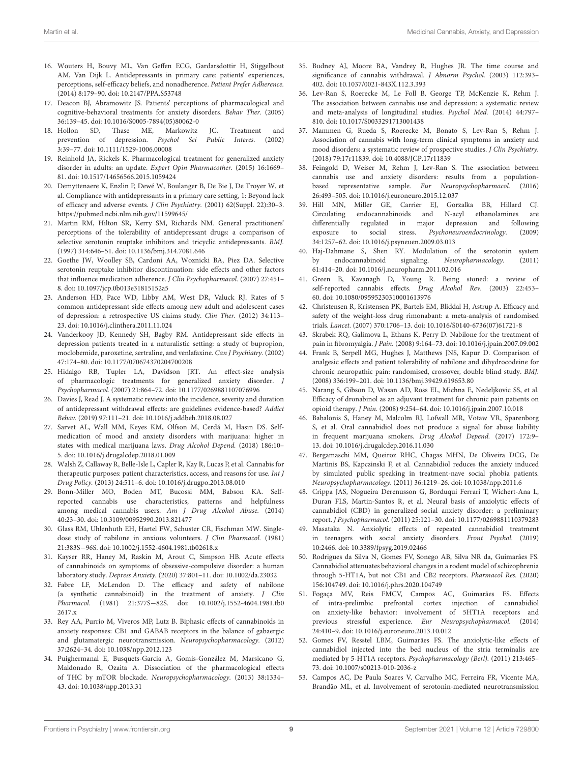- <span id="page-8-0"></span>16. Wouters H, Bouvy ML, Van Geffen ECG, Gardarsdottir H, Stiggelbout AM, Van Dijk L. Antidepressants in primary care: patients' experiences, perceptions, self-efficacy beliefs, and nonadherence. Patient Prefer Adherence. (2014) 8:179–90. doi: [10.2147/PPA.S53748](https://doi.org/10.2147/PPA.S53748)
- <span id="page-8-1"></span>17. Deacon BJ, Abramowitz JS. Patients' perceptions of pharmacological and cognitive-behavioral treatments for anxiety disorders. Behav Ther. (2005) 36:139–45. doi: [10.1016/S0005-7894\(05\)80062-0](https://doi.org/10.1016/S0005-7894(05)80062-0)
- <span id="page-8-2"></span>18. Hollon SD, Thase ME, Markowitz JC. Treatment and prevention of depression. Psychol Sci Public Interes. (2002) 3:39–77. doi: [10.1111/1529-1006.00008](https://doi.org/10.1111/1529-1006.00008)
- <span id="page-8-3"></span>19. Reinhold JA, Rickels K. Pharmacological treatment for generalized anxiety disorder in adults: an update. Expert Opin Pharmacother. (2015) 16:1669– 81. doi: [10.1517/14656566.2015.1059424](https://doi.org/10.1517/14656566.2015.1059424)
- <span id="page-8-4"></span>20. Demyttenaere K, Enzlin P, Dewé W, Boulanger B, De Bie J, De Troyer W, et al. Compliance with antidepressants in a primary care setting, 1: Beyond lack of efficacy and adverse events. J Clin Psychiatry. (2001) 62(Suppl. 22):30–3. <https://pubmed.ncbi.nlm.nih.gov/11599645/>
- <span id="page-8-33"></span>21. Martin RM, Hilton SR, Kerry SM, Richards NM. General practitioners' perceptions of the tolerability of antidepressant drugs: a comparison of selective serotonin reuptake inhibitors and tricyclic antidepressants. BMJ. (1997) 314:646–51. doi: [10.1136/bmj.314.7081.646](https://doi.org/10.1136/bmj.314.7081.646)
- 22. Goethe JW, Woolley SB, Cardoni AA, Woznicki BA, Piez DA. Selective serotonin reuptake inhibitor discontinuation: side effects and other factors that influence medication adherence. J Clin Psychopharmacol. (2007) 27:451-8. doi: [10.1097/jcp.0b013e31815152a5](https://doi.org/10.1097/jcp.0b013e31815152a5)
- <span id="page-8-32"></span>23. Anderson HD, Pace WD, Libby AM, West DR, Valuck RJ. Rates of 5 common antidepressant side effects among new adult and adolescent cases of depression: a retrospective US claims study. Clin Ther. (2012) 34:113– 23. doi: [10.1016/j.clinthera.2011.11.024](https://doi.org/10.1016/j.clinthera.2011.11.024)
- <span id="page-8-5"></span>24. Vanderkooy JD, Kennedy SH, Bagby RM. Antidepressant side effects in depression patients treated in a naturalistic setting: a study of bupropion, moclobemide, paroxetine, sertraline, and venlafaxine. Can J Psychiatry. (2002) 47:174–80. doi: [10.1177/070674370204700208](https://doi.org/10.1177/070674370204700208)
- <span id="page-8-6"></span>25. Hidalgo RB, Tupler LA, Davidson JRT. An effect-size analysis of pharmacologic treatments for generalized anxiety disorder. J Psychopharmacol. (2007) 21:864–72. doi: [10.1177/0269881107076996](https://doi.org/10.1177/0269881107076996)
- <span id="page-8-7"></span>26. Davies J, Read J. A systematic review into the incidence, severity and duration of antidepressant withdrawal effects: are guidelines evidence-based? Addict Behav. (2019) 97:111–21. doi: [10.1016/j.addbeh.2018.08.027](https://doi.org/10.1016/j.addbeh.2018.08.027)
- <span id="page-8-8"></span>27. Sarvet AL, Wall MM, Keyes KM, Olfson M, Cerdá M, Hasin DS. Selfmedication of mood and anxiety disorders with marijuana: higher in states with medical marijuana laws. Drug Alcohol Depend. (2018) 186:10– 5. doi: [10.1016/j.drugalcdep.2018.01.009](https://doi.org/10.1016/j.drugalcdep.2018.01.009)
- 28. Walsh Z, Callaway R, Belle-Isle L, Capler R, Kay R, Lucas P, et al. Cannabis for therapeutic purposes: patient characteristics, access, and reasons for use. Int J Drug Policy. (2013) 24:511–6. doi: [10.1016/j.drugpo.2013.08.010](https://doi.org/10.1016/j.drugpo.2013.08.010)
- <span id="page-8-9"></span>29. Bonn-Miller MO, Boden MT, Bucossi MM, Babson KA. Selfreported cannabis use characteristics, patterns and helpfulness among medical cannabis users. Am J Drug Alcohol Abuse. (2014) 40:23–30. doi: [10.3109/00952990.2013.821477](https://doi.org/10.3109/00952990.2013.821477)
- <span id="page-8-10"></span>30. Glass RM, Uhlenhuth EH, Hartel FW, Schuster CR, Fischman MW. Singledose study of nabilone in anxious volunteers. J Clin Pharmacol. (1981) 21:383S−96S. doi: [10.1002/j.1552-4604.1981.tb02618.x](https://doi.org/10.1002/j.1552-4604.1981.tb02618.x)
- <span id="page-8-11"></span>31. Kayser RR, Haney M, Raskin M, Arout C, Simpson HB. Acute effects of cannabinoids on symptoms of obsessive-compulsive disorder: a human laboratory study. Depress Anxiety. (2020) 37:801–11. doi: [10.1002/da.23032](https://doi.org/10.1002/da.23032)
- <span id="page-8-12"></span>32. Fabre LF, McLendon D. The efficacy and safety of nabilone (a synthetic cannabinoid) in the treatment of anxiety. J Clin Pharmacol. (1981) 21:377S−[82S. doi: 10.1002/j.1552-4604.1981.tb0](https://doi.org/10.1002/j.1552-4604.1981.tb02617.x) 2617.x
- <span id="page-8-13"></span>33. Rey AA, Purrio M, Viveros MP, Lutz B. Biphasic effects of cannabinoids in anxiety responses: CB1 and GABAB receptors in the balance of gabaergic and glutamatergic neurotransmission. Neuropsychopharmacology. (2012) 37:2624–34. doi: [10.1038/npp.2012.123](https://doi.org/10.1038/npp.2012.123)
- <span id="page-8-14"></span>34. Puighermanal E, Busquets-Garcia A, Gomis-González M, Marsicano G, Maldonado R, Ozaita A. Dissociation of the pharmacological effects of THC by mTOR blockade. Neuropsychopharmacology. (2013) 38:1334– 43. doi: [10.1038/npp.2013.31](https://doi.org/10.1038/npp.2013.31)
- <span id="page-8-15"></span>35. Budney AJ, Moore BA, Vandrey R, Hughes JR. The time course and significance of cannabis withdrawal. J Abnorm Psychol. (2003) 112:393– 402. doi: [10.1037/0021-843X.112.3.393](https://doi.org/10.1037/0021-843X.112.3.393)
- <span id="page-8-16"></span>36. Lev-Ran S, Roerecke M, Le Foll B, George TP, McKenzie K, Rehm J. The association between cannabis use and depression: a systematic review and meta-analysis of longitudinal studies. Psychol Med. (2014) 44:797– 810. doi: [10.1017/S0033291713001438](https://doi.org/10.1017/S0033291713001438)
- <span id="page-8-17"></span>37. Mammen G, Rueda S, Roerecke M, Bonato S, Lev-Ran S, Rehm J. Association of cannabis with long-term clinical symptoms in anxiety and mood disorders: a systematic review of prospective studies. J Clin Psychiatry. (2018) 79:17r11839. doi: [10.4088/JCP.17r11839](https://doi.org/10.4088/JCP.17r11839)
- <span id="page-8-18"></span>38. Feingold D, Weiser M, Rehm J, Lev-Ran S. The association between cannabis use and anxiety disorders: results from a populationbased representative sample. Eur Neuropsychopharmacol. (2016) 26:493–505. doi: [10.1016/j.euroneuro.2015.12.037](https://doi.org/10.1016/j.euroneuro.2015.12.037)
- <span id="page-8-19"></span>39. Hill MN, Miller GE, Carrier EJ, Gorzalka BB, Hillard CJ. Circulating endocannabinoids and N-acyl ethanolamines are differentially regulated in major depression and following exposure to social stress. Psychoneuroendocrinology. (2009) 34:1257–62. doi: [10.1016/j.psyneuen.2009.03.013](https://doi.org/10.1016/j.psyneuen.2009.03.013)
- <span id="page-8-20"></span>40. Haj-Dahmane S, Shen RY. Modulation of the serotonin system by endocannabinoid signaling. Neuropharmacology. (2011) 61:414–20. doi: [10.1016/j.neuropharm.2011.02.016](https://doi.org/10.1016/j.neuropharm.2011.02.016)
- <span id="page-8-21"></span>41. Green B, Kavanagh D, Young R. Being stoned: a review of self-reported cannabis effects. Drug Alcohol Rev. (2003) 22:453– 60. doi: [10.1080/09595230310001613976](https://doi.org/10.1080/09595230310001613976)
- <span id="page-8-22"></span>42. Christensen R, Kristensen PK, Bartels EM, Bliddal H, Astrup A. Efficacy and safety of the weight-loss drug rimonabant: a meta-analysis of randomised trials. Lancet. (2007) 370:1706–13. doi: [10.1016/S0140-6736\(07\)61721-8](https://doi.org/10.1016/S0140-6736(07)61721-8)
- <span id="page-8-23"></span>43. Skrabek RQ, Galimova L, Ethans K, Perry D. Nabilone for the treatment of pain in fibromyalgia. J Pain. (2008) 9:164–73. doi: [10.1016/j.jpain.2007.09.002](https://doi.org/10.1016/j.jpain.2007.09.002)
- 44. Frank B, Serpell MG, Hughes J, Matthews JNS, Kapur D. Comparison of analgesic effects and patient tolerability of nabilone and dihydrocodeine for chronic neuropathic pain: randomised, crossover, double blind study. BMJ. (2008) 336:199–201. doi: [10.1136/bmj.39429.619653.80](https://doi.org/10.1136/bmj.39429.619653.80)
- <span id="page-8-24"></span>45. Narang S, Gibson D, Wasan AD, Ross EL, Michna E, Nedeljkovic SS, et al. Efficacy of dronabinol as an adjuvant treatment for chronic pain patients on opioid therapy. J Pain. (2008) 9:254–64. doi: [10.1016/j.jpain.2007.10.018](https://doi.org/10.1016/j.jpain.2007.10.018)
- <span id="page-8-25"></span>46. Babalonis S, Haney M, Malcolm RJ, Lofwall MR, Votaw VR, Sparenborg S, et al. Oral cannabidiol does not produce a signal for abuse liability in frequent marijuana smokers. Drug Alcohol Depend. (2017) 172:9– 13. doi: [10.1016/j.drugalcdep.2016.11.030](https://doi.org/10.1016/j.drugalcdep.2016.11.030)
- <span id="page-8-26"></span>47. Bergamaschi MM, Queiroz RHC, Chagas MHN, De Oliveira DCG, De Martinis BS, Kapczinski F, et al. Cannabidiol reduces the anxiety induced by simulated public speaking in treatment-nave social phobia patients. Neuropsychopharmacology. (2011) 36:1219–26. doi: [10.1038/npp.2011.6](https://doi.org/10.1038/npp.2011.6)
- <span id="page-8-27"></span>48. Crippa JAS, Nogueira Derenusson G, Borduqui Ferrari T, Wichert-Ana L, Duran FLS, Martin-Santos R, et al. Neural basis of anxiolytic effects of cannabidiol (CBD) in generalized social anxiety disorder: a preliminary report. J Psychopharmacol. (2011) 25:121–30. doi: [10.1177/0269881110379283](https://doi.org/10.1177/0269881110379283)
- <span id="page-8-28"></span>49. Masataka N. Anxiolytic effects of repeated cannabidiol treatment in teenagers with social anxiety disorders. Front Psychol. (2019) 10:2466. doi: [10.3389/fpsyg.2019.02466](https://doi.org/10.3389/fpsyg.2019.02466)
- <span id="page-8-29"></span>50. Rodrigues da Silva N, Gomes FV, Sonego AB, Silva NR da, Guimarães FS. Cannabidiol attenuates behavioral changes in a rodent model of schizophrenia through 5-HT1A, but not CB1 and CB2 receptors. Pharmacol Res. (2020) 156:104749. doi: [10.1016/j.phrs.2020.104749](https://doi.org/10.1016/j.phrs.2020.104749)
- 51. Fogaça MV, Reis FMCV, Campos AC, Guimarães FS. Effects of intra-prelimbic prefrontal cortex injection of cannabidiol on anxiety-like behavior: involvement of 5HT1A receptors and previous stressful experience. Eur Neuropsychopharmacol. (2014) 24:410–9. doi: [10.1016/j.euroneuro.2013.10.012](https://doi.org/10.1016/j.euroneuro.2013.10.012)
- <span id="page-8-30"></span>52. Gomes FV, Resstel LBM, Guimarães FS. The anxiolytic-like effects of cannabidiol injected into the bed nucleus of the stria terminalis are mediated by 5-HT1A receptors. Psychopharmacology (Berl). (2011) 213:465– 73. doi: [10.1007/s00213-010-2036-z](https://doi.org/10.1007/s00213-010-2036-z)
- <span id="page-8-31"></span>53. Campos AC, De Paula Soares V, Carvalho MC, Ferreira FR, Vicente MA, Brandão ML, et al. Involvement of serotonin-mediated neurotransmission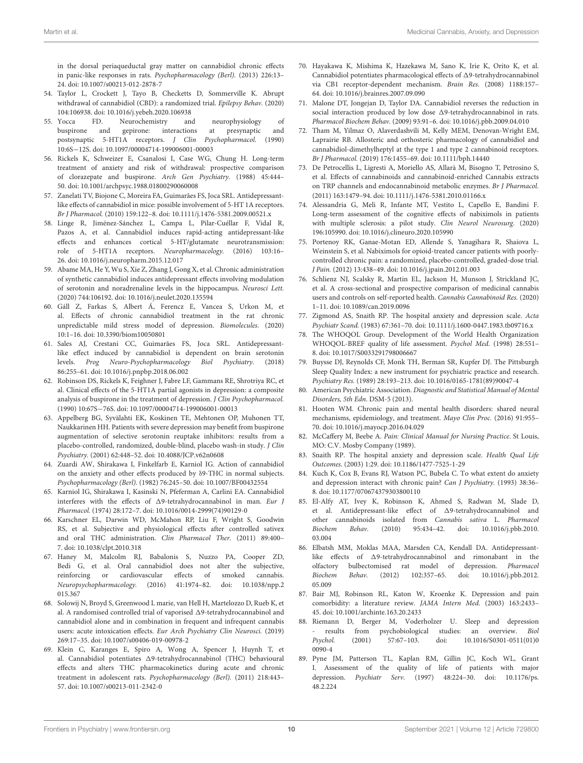in the dorsal periaqueductal gray matter on cannabidiol chronic effects in panic-like responses in rats. Psychopharmacology (Berl). (2013) 226:13– 24. doi: [10.1007/s00213-012-2878-7](https://doi.org/10.1007/s00213-012-2878-7)

- <span id="page-9-0"></span>54. Taylor L, Crockett J, Tayo B, Checketts D, Sommerville K. Abrupt withdrawal of cannabidiol (CBD): a randomized trial. Epilepsy Behav. (2020) 104:106938. doi: [10.1016/j.yebeh.2020.106938](https://doi.org/10.1016/j.yebeh.2020.106938)
- <span id="page-9-1"></span>55. Yocca FD. Neurochemistry and neurophysiology of buspirone and gepirone: interactions at presynaptic and postsynaptic 5-HT1A receptors. J Clin Psychopharmacol. (1990) 10:6S−12S. doi: [10.1097/00004714-199006001-00003](https://doi.org/10.1097/00004714-199006001-00003)
- <span id="page-9-2"></span>56. Rickels K, Schweizer E, Csanalosi I, Case WG, Chung H. Long-term treatment of anxiety and risk of withdrawal: prospective comparison of clorazepate and buspirone. Arch Gen Psychiatry. (1988) 45:444– 50. doi: [10.1001/archpsyc.1988.01800290060008](https://doi.org/10.1001/archpsyc.1988.01800290060008)
- <span id="page-9-3"></span>57. Zanelati TV, Biojone C, Moreira FA, Guimarães FS, Joca SRL. Antidepressantlike effects of cannabidiol in mice: possible involvement of 5-HT 1A receptors. Br J Pharmacol. (2010) 159:122–8. doi: [10.1111/j.1476-5381.2009.00521.x](https://doi.org/10.1111/j.1476-5381.2009.00521.x)
- <span id="page-9-5"></span>58. Linge R, Jiménez-Sánchez L, Campa L, Pilar-Cuéllar F, Vidal R, Pazos A, et al. Cannabidiol induces rapid-acting antidepressant-like effects and enhances cortical 5-HT/glutamate neurotransmission: role of 5-HT1A receptors. Neuropharmacology. (2016) 103:16– 26. doi: [10.1016/j.neuropharm.2015.12.017](https://doi.org/10.1016/j.neuropharm.2015.12.017)
- 59. Abame MA, He Y, Wu S, Xie Z, Zhang J, Gong X, et al. Chronic administration of synthetic cannabidiol induces antidepressant effects involving modulation of serotonin and noradrenaline levels in the hippocampus. Neurosci Lett. (2020) 744:106192. doi: [10.1016/j.neulet.2020.135594](https://doi.org/10.1016/j.neulet.2020.135594)
- <span id="page-9-4"></span>60. Gáll Z, Farkas S, Albert Á, Ferencz E, Vancea S, Urkon M, et al. Effects of chronic cannabidiol treatment in the rat chronic unpredictable mild stress model of depression. Biomolecules. (2020) 10:1–16. doi: [10.3390/biom10050801](https://doi.org/10.3390/biom10050801)
- <span id="page-9-6"></span>61. Sales AJ, Crestani CC, Guimarães FS, Joca SRL. Antidepressantlike effect induced by cannabidiol is dependent on brain serotonin levels. Prog Neuro-Psychopharmacology Biol Psychiatry. (2018) 86:255–61. doi: [10.1016/j.pnpbp.2018.06.002](https://doi.org/10.1016/j.pnpbp.2018.06.002)
- <span id="page-9-7"></span>62. Robinson DS, Rickels K, Feighner J, Fabre LF, Gammans RE, Shrotriya RC, et al. Clinical effects of the 5-HT1A partial agonists in depression: a composite analysis of buspirone in the treatment of depression. J Clin Psychopharmacol. (1990) 10:67S−76S. doi: [10.1097/00004714-199006001-00013](https://doi.org/10.1097/00004714-199006001-00013)
- <span id="page-9-8"></span>63. Appelberg BG, Syvälahti EK, Koskinen TE, Mehtonen OP, Muhonen TT, Naukkarinen HH. Patients with severe depression may benefit from buspirone augmentation of selective serotonin reuptake inhibitors: results from a placebo-controlled, randomized, double-blind, placebo wash-in study. J Clin Psychiatry. (2001) 62:448–52. doi: [10.4088/JCP.v62n0608](https://doi.org/10.4088/JCP.v62n0608)
- <span id="page-9-9"></span>64. Zuardi AW, Shirakawa I, Finkelfarb E, Karniol IG. Action of cannabidiol on the anxiety and other effects produced by δ9-THC in normal subjects. Psychopharmacology (Berl). (1982) 76:245–50. doi: [10.1007/BF00432554](https://doi.org/10.1007/BF00432554)
- <span id="page-9-10"></span>65. Karniol IG, Shirakawa I, Kasinski N, Pfeferman A, Carlini EA. Cannabidiol interferes with the effects of  $\Delta$ 9-tetrahydrocannabinol in man. Eur J Pharmacol. (1974) 28:172–7. doi: [10.1016/0014-2999\(74\)90129-0](https://doi.org/10.1016/0014-2999(74)90129-0)
- <span id="page-9-11"></span>66. Karschner EL, Darwin WD, McMahon RP, Liu F, Wright S, Goodwin RS, et al. Subjective and physiological effects after controlled sativex and oral THC administration. Clin Pharmacol Ther. (2011) 89:400– 7. doi: [10.1038/clpt.2010.318](https://doi.org/10.1038/clpt.2010.318)
- <span id="page-9-12"></span>67. Haney M, Malcolm RJ, Babalonis S, Nuzzo PA, Cooper ZD, Bedi G, et al. Oral cannabidiol does not alter the subjective, reinforcing or cardiovascular effects of smoked cannabis. Neuropsychopharmacology. [\(2016\) 41:1974–82. doi: 10.1038/npp.2](https://doi.org/10.1038/npp.2015.367) 015.367
- <span id="page-9-13"></span>68. Solowij N, Broyd S, Greenwood L marie, van Hell H, Martelozzo D, Rueb K, et al. A randomised controlled trial of vaporised  $\Delta$ 9-tetrahydrocannabinol and cannabidiol alone and in combination in frequent and infrequent cannabis users: acute intoxication effects. Eur Arch Psychiatry Clin Neurosci. (2019) 269:17–35. doi: [10.1007/s00406-019-00978-2](https://doi.org/10.1007/s00406-019-00978-2)
- <span id="page-9-14"></span>69. Klein C, Karanges E, Spiro A, Wong A, Spencer J, Huynh T, et al. Cannabidiol potentiates  $\Delta$ 9-tetrahydrocannabinol (THC) behavioural effects and alters THC pharmacokinetics during acute and chronic treatment in adolescent rats. Psychopharmacology (Berl). (2011) 218:443– 57. doi: [10.1007/s00213-011-2342-0](https://doi.org/10.1007/s00213-011-2342-0)
- 70. Hayakawa K, Mishima K, Hazekawa M, Sano K, Irie K, Orito K, et al. Cannabidiol potentiates pharmacological effects of  $\Delta$ 9-tetrahydrocannabinol via CB1 receptor-dependent mechanism. Brain Res. (2008) 1188:157– 64. doi: [10.1016/j.brainres.2007.09.090](https://doi.org/10.1016/j.brainres.2007.09.090)
- <span id="page-9-15"></span>71. Malone DT, Jongejan D, Taylor DA. Cannabidiol reverses the reduction in social interaction produced by low dose  $\Delta$ 9-tetrahydrocannabinol in rats. Pharmacol Biochem Behav. (2009) 93:91–6. doi: [10.1016/j.pbb.2009.04.010](https://doi.org/10.1016/j.pbb.2009.04.010)
- <span id="page-9-16"></span>72. Tham M, Yilmaz O, Alaverdashvili M, Kelly MEM, Denovan-Wright EM, Laprairie RB. Allosteric and orthosteric pharmacology of cannabidiol and cannabidiol-dimethylheptyl at the type 1 and type 2 cannabinoid receptors. Br J Pharmacol. (2019) 176:1455–69. doi: [10.1111/bph.14440](https://doi.org/10.1111/bph.14440)
- <span id="page-9-17"></span>73. De Petrocellis L, Ligresti A, Moriello AS, Allarà M, Bisogno T, Petrosino S, et al. Effects of cannabinoids and cannabinoid-enriched Cannabis extracts on TRP channels and endocannabinoid metabolic enzymes. Br J Pharmacol. (2011) 163:1479–94. doi: [10.1111/j.1476-5381.2010.01166.x](https://doi.org/10.1111/j.1476-5381.2010.01166.x)
- <span id="page-9-18"></span>74. Alessandria G, Meli R, Infante MT, Vestito L, Capello E, Bandini F. Long-term assessment of the cognitive effects of nabiximols in patients with multiple sclerosis: a pilot study. Clin Neurol Neurosurg. (2020) 196:105990. doi: [10.1016/j.clineuro.2020.105990](https://doi.org/10.1016/j.clineuro.2020.105990)
- <span id="page-9-19"></span>75. Portenoy RK, Ganae-Motan ED, Allende S, Yanagihara R, Shaiova L, Weinstein S, et al. Nabiximols for opioid-treated cancer patients with poorlycontrolled chronic pain: a randomized, placebo-controlled, graded-dose trial. J Pain. (2012) 13:438–49. doi: [10.1016/j.jpain.2012.01.003](https://doi.org/10.1016/j.jpain.2012.01.003)
- <span id="page-9-20"></span>76. Schlienz NJ, Scalsky R, Martin EL, Jackson H, Munson J, Strickland JC, et al. A cross-sectional and prospective comparison of medicinal cannabis users and controls on self-reported health. Cannabis Cannabinoid Res. (2020) 1–11. doi: [10.1089/can.2019.0096](https://doi.org/10.1089/can.2019.0096)
- <span id="page-9-21"></span>77. Zigmond AS, Snaith RP. The hospital anxiety and depression scale. Acta Psychiatr Scand. (1983) 67:361–70. doi: [10.1111/j.1600-0447.1983.tb09716.x](https://doi.org/10.1111/j.1600-0447.1983.tb09716.x)
- <span id="page-9-22"></span>78. The WHOQOL Group. Development of the World Health Organization WHOQOL-BREF quality of life assessment. Psychol Med. (1998) 28:551– 8. doi: [10.1017/S0033291798006667](https://doi.org/10.1017/S0033291798006667)
- <span id="page-9-23"></span>79. Buysse DJ, Reynolds CF, Monk TH, Berman SR, Kupfer DJ. The Pittsburgh Sleep Quality Index: a new instrument for psychiatric practice and research. Psychiatry Res. (1989) 28:193–213. doi: [10.1016/0165-1781\(89\)90047-4](https://doi.org/10.1016/0165-1781(89)90047-4)
- <span id="page-9-24"></span>80. American Psychiatric Association. Diagnostic and Statistical Manual of Mental Disorders, 5th Edn. DSM-5 (2013).
- <span id="page-9-25"></span>81. Hooten WM. Chronic pain and mental health disorders: shared neural mechanisms, epidemiology, and treatment. Mayo Clin Proc. (2016) 91:955– 70. doi: [10.1016/j.mayocp.2016.04.029](https://doi.org/10.1016/j.mayocp.2016.04.029)
- <span id="page-9-26"></span>82. McCaffery M, Beebe A. Pain: Clinical Manual for Nursing Practice. St Louis, MO: C.V. Mosby Company (1989).
- <span id="page-9-28"></span>83. Snaith RP. The hospital anxiety and depression scale. Health Qual Life Outcomes. (2003) 1:29. doi: [10.1186/1477-7525-1-29](https://doi.org/10.1186/1477-7525-1-29~)
- <span id="page-9-27"></span>84. Kuch K, Cox B, Evans RJ, Watson PC, Bubela C. To what extent do anxiety and depression interact with chronic pain? Can J Psychiatry. (1993) 38:36-8. doi: [10.1177/070674379303800110](https://doi.org/10.1177/070674379303800110)
- <span id="page-9-29"></span>85. El-Alfy AT, Ivey K, Robinson K, Ahmed S, Radwan M, Slade D, et al. Antidepressant-like effect of 19-tetrahydrocannabinol and other cannabinoids isolated from Cannabis sativa L. Pharmacol Biochem Behav. [\(2010\) 95:434–42. doi: 10.1016/j.pbb.2010.](https://doi.org/10.1016/j.pbb.2010.03.004) 03.004
- <span id="page-9-30"></span>86. Elbatsh MM, Moklas MAA, Marsden CA, Kendall DA. Antidepressantlike effects of 19-tetrahydrocannabinol and rimonabant in the olfactory bulbectomised rat model of depression. Pharmacol Biochem Behav. [\(2012\) 102:357–65. doi: 10.1016/j.pbb.2012.](https://doi.org/10.1016/j.pbb.2012.05.009) 05.009
- <span id="page-9-31"></span>87. Bair MJ, Robinson RL, Katon W, Kroenke K. Depression and pain comorbidity: a literature review. JAMA Intern Med. (2003) 163:2433– 45. doi: [10.1001/archinte.163.20.2433](https://doi.org/10.1001/archinte.163.20.2433)
- 88. Riemann D, Berger M, Voderholzer U. Sleep and depression results from psychobiological studies: an overview. Biol Psychol. [\(2001\) 57:67–103. doi: 10.1016/S0301-0511\(01\)0](https://doi.org/10.1016/S0301-0511(01)00090-4) 0090-4
- <span id="page-9-32"></span>89. Pyne JM, Patterson TL, Kaplan RM, Gillin JC, Koch WL, Grant I. Assessment of the quality of life of patients with major depression. Psychiatr Serv. [\(1997\) 48:224–30. doi: 10.1176/ps.](https://doi.org/10.1176/ps.48.2.224) 48.2.224